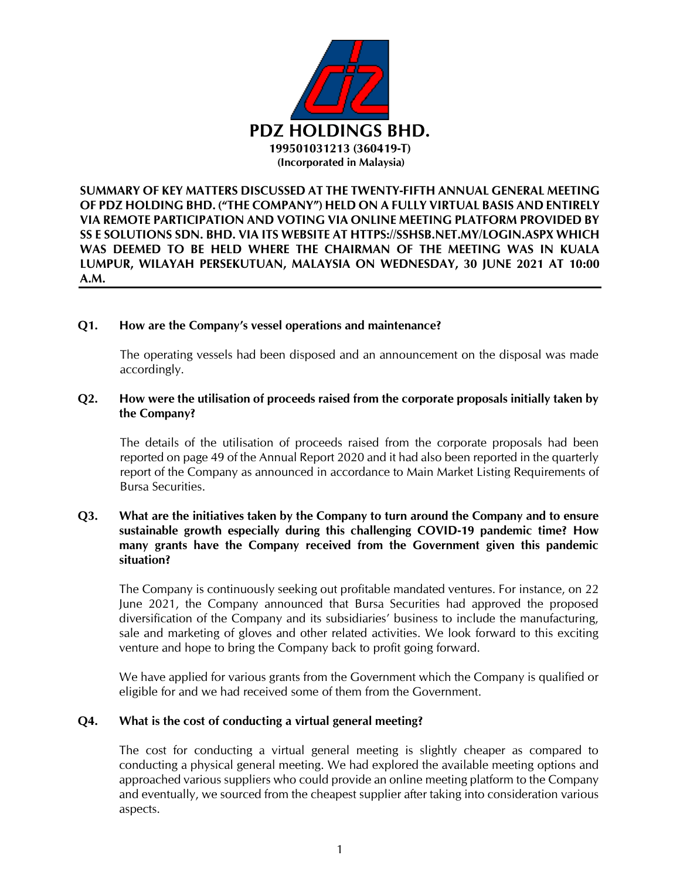

**SUMMARY OF KEY MATTERS DISCUSSED AT THE TWENTY-FIFTH ANNUAL GENERAL MEETING OF PDZ HOLDING BHD. ("THE COMPANY") HELD ON A FULLY VIRTUAL BASIS AND ENTIRELY VIA REMOTE PARTICIPATION AND VOTING VIA ONLINE MEETING PLATFORM PROVIDED BY SS E SOLUTIONS SDN. BHD. VIA ITS WEBSITE AT HTTPS://SSHSB.NET.MY/LOGIN.ASPX WHICH WAS DEEMED TO BE HELD WHERE THE CHAIRMAN OF THE MEETING WAS IN KUALA LUMPUR, WILAYAH PERSEKUTUAN, MALAYSIA ON WEDNESDAY, 30 JUNE 2021 AT 10:00 A.M.**

#### **Q1. How are the Company's vessel operations and maintenance?**

The operating vessels had been disposed and an announcement on the disposal was made accordingly.

### **Q2. How were the utilisation of proceeds raised from the corporate proposals initially taken by the Company?**

The details of the utilisation of proceeds raised from the corporate proposals had been reported on page 49 of the Annual Report 2020 and it had also been reported in the quarterly report of the Company as announced in accordance to Main Market Listing Requirements of Bursa Securities.

### **Q3. What are the initiatives taken by the Company to turn around the Company and to ensure sustainable growth especially during this challenging COVID-19 pandemic time? How many grants have the Company received from the Government given this pandemic situation?**

The Company is continuously seeking out profitable mandated ventures. For instance, on 22 June 2021, the Company announced that Bursa Securities had approved the proposed diversification of the Company and its subsidiaries' business to include the manufacturing, sale and marketing of gloves and other related activities. We look forward to this exciting venture and hope to bring the Company back to profit going forward.

We have applied for various grants from the Government which the Company is qualified or eligible for and we had received some of them from the Government.

# **Q4. What is the cost of conducting a virtual general meeting?**

The cost for conducting a virtual general meeting is slightly cheaper as compared to conducting a physical general meeting. We had explored the available meeting options and approached various suppliers who could provide an online meeting platform to the Company and eventually, we sourced from the cheapest supplier after taking into consideration various aspects.